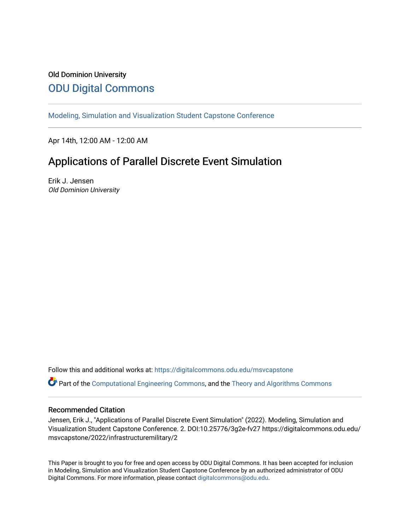# Old Dominion University [ODU Digital Commons](https://digitalcommons.odu.edu/)

[Modeling, Simulation and Visualization Student Capstone Conference](https://digitalcommons.odu.edu/msvcapstone) 

Apr 14th, 12:00 AM - 12:00 AM

# Applications of Parallel Discrete Event Simulation

Erik J. Jensen Old Dominion University

Follow this and additional works at: [https://digitalcommons.odu.edu/msvcapstone](https://digitalcommons.odu.edu/msvcapstone?utm_source=digitalcommons.odu.edu%2Fmsvcapstone%2F2022%2Finfrastructuremilitary%2F2&utm_medium=PDF&utm_campaign=PDFCoverPages) 

Part of the [Computational Engineering Commons](http://network.bepress.com/hgg/discipline/311?utm_source=digitalcommons.odu.edu%2Fmsvcapstone%2F2022%2Finfrastructuremilitary%2F2&utm_medium=PDF&utm_campaign=PDFCoverPages), and the [Theory and Algorithms Commons](http://network.bepress.com/hgg/discipline/151?utm_source=digitalcommons.odu.edu%2Fmsvcapstone%2F2022%2Finfrastructuremilitary%2F2&utm_medium=PDF&utm_campaign=PDFCoverPages) 

## Recommended Citation

Jensen, Erik J., "Applications of Parallel Discrete Event Simulation" (2022). Modeling, Simulation and Visualization Student Capstone Conference. 2. DOI:10.25776/3g2e-fv27 https://digitalcommons.odu.edu/ msvcapstone/2022/infrastructuremilitary/2

This Paper is brought to you for free and open access by ODU Digital Commons. It has been accepted for inclusion in Modeling, Simulation and Visualization Student Capstone Conference by an authorized administrator of ODU Digital Commons. For more information, please contact [digitalcommons@odu.edu.](mailto:digitalcommons@odu.edu)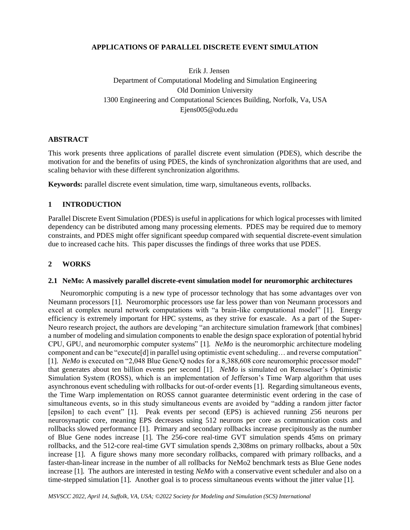#### **APPLICATIONS OF PARALLEL DISCRETE EVENT SIMULATION**

Erik J. Jensen Department of Computational Modeling and Simulation Engineering Old Dominion University 1300 Engineering and Computational Sciences Building, Norfolk, Va, USA Ejens005@odu.edu

#### **ABSTRACT**

This work presents three applications of parallel discrete event simulation (PDES), which describe the motivation for and the benefits of using PDES, the kinds of synchronization algorithms that are used, and scaling behavior with these different synchronization algorithms.

**Keywords:** parallel discrete event simulation, time warp, simultaneous events, rollbacks.

#### **1 INTRODUCTION**

Parallel Discrete Event Simulation (PDES) is useful in applications for which logical processes with limited dependency can be distributed among many processing elements. PDES may be required due to memory constraints, and PDES might offer significant speedup compared with sequential discrete-event simulation due to increased cache hits. This paper discusses the findings of three works that use PDES.

#### **2 WORKS**

#### **2.1 NeMo: A massively parallel discrete-event simulation model for neuromorphic architectures**

Neuromorphic computing is a new type of processor technology that has some advantages over von Neumann processors [1]. Neuromorphic processors use far less power than von Neumann processors and excel at complex neural network computations with "a brain-like computational model" [1]. Energy efficiency is extremely important for HPC systems, as they strive for exascale. As a part of the Super-Neuro research project, the authors are developing "an architecture simulation framework [that combines] a number of modeling and simulation components to enable the design space exploration of potential hybrid CPU, GPU, and neuromorphic computer systems" [1]. *NeMo* is the neuromorphic architecture modeling component and can be "execute[d] in parallel using optimistic event scheduling… and reverse computation" [1]. *NeMo* is executed on "2,048 Blue Gene/Q nodes for a 8,388,608 core neuromorphic processor model" that generates about ten billion events per second [1]. *NeMo* is simulated on Rensselaer's Optimistic Simulation System (ROSS), which is an implementation of Jefferson's Time Warp algorithm that uses asynchronous event scheduling with rollbacks for out-of-order events [1]. Regarding simultaneous events, the Time Warp implementation on ROSS cannot guarantee deterministic event ordering in the case of simultaneous events, so in this study simultaneous events are avoided by "adding a random jitter factor [epsilon] to each event" [1]. Peak events per second (EPS) is achieved running 256 neurons per neurosynaptic core, meaning EPS decreases using 512 neurons per core as communication costs and rollbacks slowed performance [1]. Primary and secondary rollbacks increase precipitously as the number of Blue Gene nodes increase [1]. The 256-core real-time GVT simulation spends 45ms on primary rollbacks, and the 512-core real-time GVT simulation spends 2,308ms on primary rollbacks, about a 50x increase [1]. A figure shows many more secondary rollbacks, compared with primary rollbacks, and a faster-than-linear increase in the number of all rollbacks for NeMo2 benchmark tests as Blue Gene nodes increase [1]. The authors are interested in testing *NeMo* with a conservative event scheduler and also on a time-stepped simulation [1]. Another goal is to process simultaneous events without the jitter value [1].